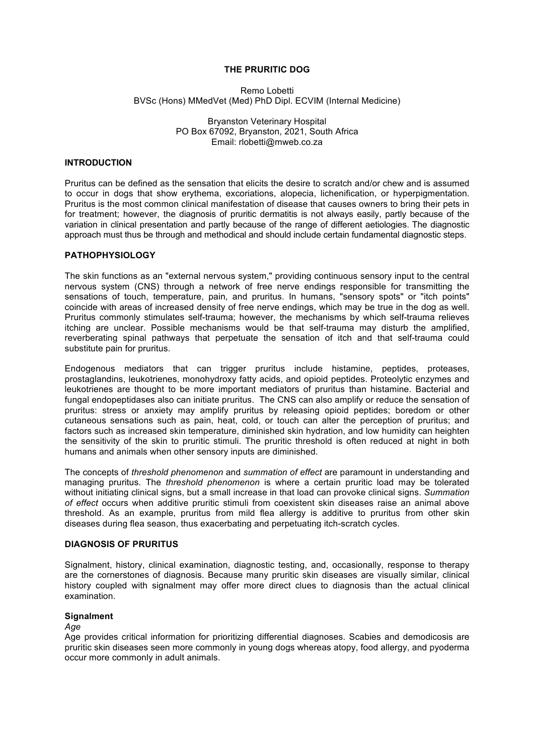# **THE PRURITIC DOG**

Remo Lobetti BVSc (Hons) MMedVet (Med) PhD Dipl. ECVIM (Internal Medicine)

> Bryanston Veterinary Hospital PO Box 67092, Bryanston, 2021, South Africa Email: rlobetti@mweb.co.za

# **INTRODUCTION**

Pruritus can be defined as the sensation that elicits the desire to scratch and/or chew and is assumed to occur in dogs that show erythema, excoriations, alopecia, lichenification, or hyperpigmentation. Pruritus is the most common clinical manifestation of disease that causes owners to bring their pets in for treatment; however, the diagnosis of pruritic dermatitis is not always easily, partly because of the variation in clinical presentation and partly because of the range of different aetiologies. The diagnostic approach must thus be through and methodical and should include certain fundamental diagnostic steps.

# **PATHOPHYSIOLOGY**

The skin functions as an "external nervous system," providing continuous sensory input to the central nervous system (CNS) through a network of free nerve endings responsible for transmitting the sensations of touch, temperature, pain, and pruritus. In humans, "sensory spots" or "itch points" coincide with areas of increased density of free nerve endings, which may be true in the dog as well. Pruritus commonly stimulates self-trauma; however, the mechanisms by which self-trauma relieves itching are unclear. Possible mechanisms would be that self-trauma may disturb the amplified, reverberating spinal pathways that perpetuate the sensation of itch and that self-trauma could substitute pain for pruritus.

Endogenous mediators that can trigger pruritus include histamine, peptides, proteases, prostaglandins, leukotrienes, monohydroxy fatty acids, and opioid peptides. Proteolytic enzymes and leukotrienes are thought to be more important mediators of pruritus than histamine. Bacterial and fungal endopeptidases also can initiate pruritus. The CNS can also amplify or reduce the sensation of pruritus: stress or anxiety may amplify pruritus by releasing opioid peptides; boredom or other cutaneous sensations such as pain, heat, cold, or touch can alter the perception of pruritus; and factors such as increased skin temperature, diminished skin hydration, and low humidity can heighten the sensitivity of the skin to pruritic stimuli. The pruritic threshold is often reduced at night in both humans and animals when other sensory inputs are diminished.

The concepts of *threshold phenomenon* and *summation of effect* are paramount in understanding and managing pruritus. The *threshold phenomenon* is where a certain pruritic load may be tolerated without initiating clinical signs, but a small increase in that load can provoke clinical signs. *Summation of effect* occurs when additive pruritic stimuli from coexistent skin diseases raise an animal above threshold. As an example, pruritus from mild flea allergy is additive to pruritus from other skin diseases during flea season, thus exacerbating and perpetuating itch-scratch cycles.

# **DIAGNOSIS OF PRURITUS**

Signalment, history, clinical examination, diagnostic testing, and, occasionally, response to therapy are the cornerstones of diagnosis. Because many pruritic skin diseases are visually similar, clinical history coupled with signalment may offer more direct clues to diagnosis than the actual clinical examination.

# **Signalment**

## *Age*

Age provides critical information for prioritizing differential diagnoses. Scabies and demodicosis are pruritic skin diseases seen more commonly in young dogs whereas atopy, food allergy, and pyoderma occur more commonly in adult animals.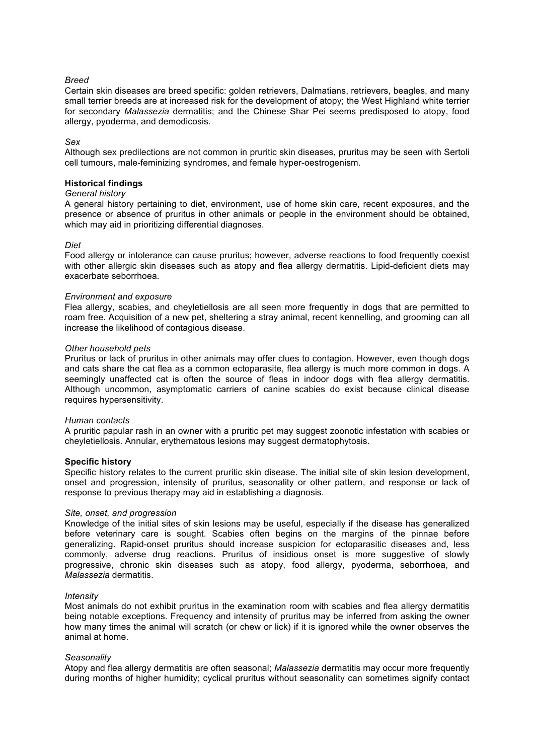# *Breed*

Certain skin diseases are breed specific: golden retrievers, Dalmatians, retrievers, beagles, and many small terrier breeds are at increased risk for the development of atopy; the West Highland white terrier for secondary *Malassezia* dermatitis; and the Chinese Shar Pei seems predisposed to atopy, food allergy, pyoderma, and demodicosis.

## *Sex*

Although sex predilections are not common in pruritic skin diseases, pruritus may be seen with Sertoli cell tumours, male-feminizing syndromes, and female hyper-oestrogenism.

## **Historical findings**

## *General history*

A general history pertaining to diet, environment, use of home skin care, recent exposures, and the presence or absence of pruritus in other animals or people in the environment should be obtained, which may aid in prioritizing differential diagnoses.

## *Diet*

Food allergy or intolerance can cause pruritus; however, adverse reactions to food frequently coexist with other allergic skin diseases such as atopy and flea allergy dermatitis. Lipid-deficient diets may exacerbate seborrhoea.

## *Environment and exposure*

Flea allergy, scabies, and cheyletiellosis are all seen more frequently in dogs that are permitted to roam free. Acquisition of a new pet, sheltering a stray animal, recent kennelling, and grooming can all increase the likelihood of contagious disease.

## *Other household pets*

Pruritus or lack of pruritus in other animals may offer clues to contagion. However, even though dogs and cats share the cat flea as a common ectoparasite, flea allergy is much more common in dogs. A seemingly unaffected cat is often the source of fleas in indoor dogs with flea allergy dermatitis. Although uncommon, asymptomatic carriers of canine scabies do exist because clinical disease requires hypersensitivity.

#### *Human contacts*

A pruritic papular rash in an owner with a pruritic pet may suggest zoonotic infestation with scabies or cheyletiellosis. Annular, erythematous lesions may suggest dermatophytosis.

## **Specific history**

Specific history relates to the current pruritic skin disease. The initial site of skin lesion development, onset and progression, intensity of pruritus, seasonality or other pattern, and response or lack of response to previous therapy may aid in establishing a diagnosis.

#### *Site, onset, and progression*

Knowledge of the initial sites of skin lesions may be useful, especially if the disease has generalized before veterinary care is sought. Scabies often begins on the margins of the pinnae before generalizing. Rapid-onset pruritus should increase suspicion for ectoparasitic diseases and, less commonly, adverse drug reactions. Pruritus of insidious onset is more suggestive of slowly progressive, chronic skin diseases such as atopy, food allergy, pyoderma, seborrhoea, and *Malassezia* dermatitis.

#### *Intensity*

Most animals do not exhibit pruritus in the examination room with scabies and flea allergy dermatitis being notable exceptions. Frequency and intensity of pruritus may be inferred from asking the owner how many times the animal will scratch (or chew or lick) if it is ignored while the owner observes the animal at home.

#### *Seasonality*

Atopy and flea allergy dermatitis are often seasonal; *Malassezia* dermatitis may occur more frequently during months of higher humidity; cyclical pruritus without seasonality can sometimes signify contact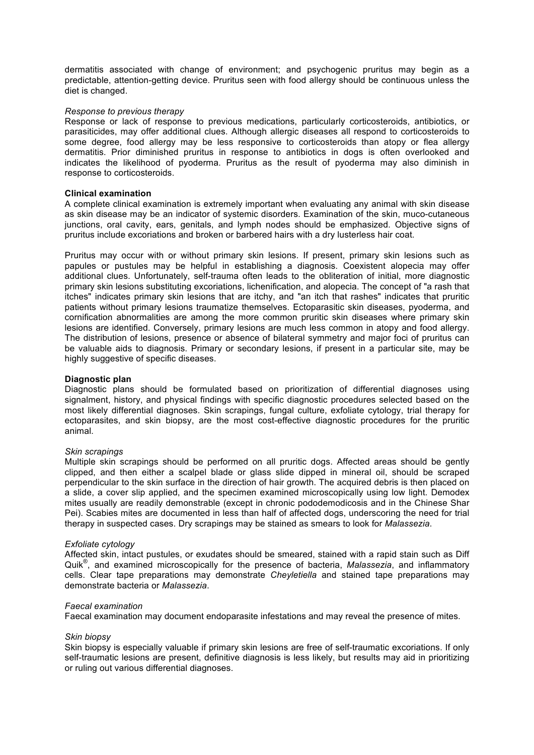dermatitis associated with change of environment; and psychogenic pruritus may begin as a predictable, attention-getting device. Pruritus seen with food allergy should be continuous unless the diet is changed.

## *Response to previous therapy*

Response or lack of response to previous medications, particularly corticosteroids, antibiotics, or parasiticides, may offer additional clues. Although allergic diseases all respond to corticosteroids to some degree, food allergy may be less responsive to corticosteroids than atopy or flea allergy dermatitis. Prior diminished pruritus in response to antibiotics in dogs is often overlooked and indicates the likelihood of pyoderma. Pruritus as the result of pyoderma may also diminish in response to corticosteroids.

## **Clinical examination**

A complete clinical examination is extremely important when evaluating any animal with skin disease as skin disease may be an indicator of systemic disorders. Examination of the skin, muco-cutaneous junctions, oral cavity, ears, genitals, and lymph nodes should be emphasized. Objective signs of pruritus include excoriations and broken or barbered hairs with a dry lusterless hair coat.

Pruritus may occur with or without primary skin lesions. If present, primary skin lesions such as papules or pustules may be helpful in establishing a diagnosis. Coexistent alopecia may offer additional clues. Unfortunately, self-trauma often leads to the obliteration of initial, more diagnostic primary skin lesions substituting excoriations, lichenification, and alopecia. The concept of "a rash that itches" indicates primary skin lesions that are itchy, and "an itch that rashes" indicates that pruritic patients without primary lesions traumatize themselves. Ectoparasitic skin diseases, pyoderma, and cornification abnormalities are among the more common pruritic skin diseases where primary skin lesions are identified. Conversely, primary lesions are much less common in atopy and food allergy. The distribution of lesions, presence or absence of bilateral symmetry and major foci of pruritus can be valuable aids to diagnosis. Primary or secondary lesions, if present in a particular site, may be highly suggestive of specific diseases.

### **Diagnostic plan**

Diagnostic plans should be formulated based on prioritization of differential diagnoses using signalment, history, and physical findings with specific diagnostic procedures selected based on the most likely differential diagnoses. Skin scrapings, fungal culture, exfoliate cytology, trial therapy for ectoparasites, and skin biopsy, are the most cost-effective diagnostic procedures for the pruritic animal.

#### *Skin scrapings*

Multiple skin scrapings should be performed on all pruritic dogs. Affected areas should be gently clipped, and then either a scalpel blade or glass slide dipped in mineral oil, should be scraped perpendicular to the skin surface in the direction of hair growth. The acquired debris is then placed on a slide, a cover slip applied, and the specimen examined microscopically using low light. Demodex mites usually are readily demonstrable (except in chronic pododemodicosis and in the Chinese Shar Pei). Scabies mites are documented in less than half of affected dogs, underscoring the need for trial therapy in suspected cases. Dry scrapings may be stained as smears to look for *Malassezia*.

#### *Exfoliate cytology*

Affected skin, intact pustules, or exudates should be smeared, stained with a rapid stain such as Diff Quik® , and examined microscopically for the presence of bacteria, *Malassezia*, and inflammatory cells. Clear tape preparations may demonstrate *Cheyletiella* and stained tape preparations may demonstrate bacteria or *Malassezia*.

#### *Faecal examination*

Faecal examination may document endoparasite infestations and may reveal the presence of mites.

## *Skin biopsy*

Skin biopsy is especially valuable if primary skin lesions are free of self-traumatic excoriations. If only self-traumatic lesions are present, definitive diagnosis is less likely, but results may aid in prioritizing or ruling out various differential diagnoses.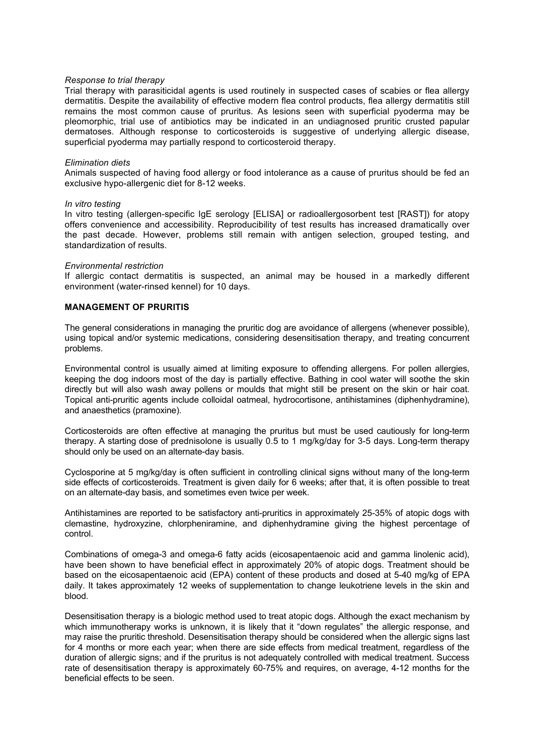## *Response to trial therapy*

Trial therapy with parasiticidal agents is used routinely in suspected cases of scabies or flea allergy dermatitis. Despite the availability of effective modern flea control products, flea allergy dermatitis still remains the most common cause of pruritus. As lesions seen with superficial pyoderma may be pleomorphic, trial use of antibiotics may be indicated in an undiagnosed pruritic crusted papular dermatoses. Although response to corticosteroids is suggestive of underlying allergic disease, superficial pyoderma may partially respond to corticosteroid therapy.

### *Elimination diets*

Animals suspected of having food allergy or food intolerance as a cause of pruritus should be fed an exclusive hypo-allergenic diet for 8-12 weeks.

#### *In vitro testing*

In vitro testing (allergen-specific IgE serology [ELISA] or radioallergosorbent test [RAST]) for atopy offers convenience and accessibility. Reproducibility of test results has increased dramatically over the past decade. However, problems still remain with antigen selection, grouped testing, and standardization of results.

#### *Environmental restriction*

If allergic contact dermatitis is suspected, an animal may be housed in a markedly different environment (water-rinsed kennel) for 10 days.

## **MANAGEMENT OF PRURITIS**

The general considerations in managing the pruritic dog are avoidance of allergens (whenever possible), using topical and/or systemic medications, considering desensitisation therapy, and treating concurrent problems.

Environmental control is usually aimed at limiting exposure to offending allergens. For pollen allergies, keeping the dog indoors most of the day is partially effective. Bathing in cool water will soothe the skin directly but will also wash away pollens or moulds that might still be present on the skin or hair coat. Topical anti-pruritic agents include colloidal oatmeal, hydrocortisone, antihistamines (diphenhydramine), and anaesthetics (pramoxine).

Corticosteroids are often effective at managing the pruritus but must be used cautiously for long-term therapy. A starting dose of prednisolone is usually 0.5 to 1 mg/kg/day for 3-5 days. Long-term therapy should only be used on an alternate-day basis.

Cyclosporine at 5 mg/kg/day is often sufficient in controlling clinical signs without many of the long-term side effects of corticosteroids. Treatment is given daily for 6 weeks; after that, it is often possible to treat on an alternate-day basis, and sometimes even twice per week.

Antihistamines are reported to be satisfactory anti-pruritics in approximately 25-35% of atopic dogs with clemastine, hydroxyzine, chlorpheniramine, and diphenhydramine giving the highest percentage of control.

Combinations of omega-3 and omega-6 fatty acids (eicosapentaenoic acid and gamma linolenic acid), have been shown to have beneficial effect in approximately 20% of atopic dogs. Treatment should be based on the eicosapentaenoic acid (EPA) content of these products and dosed at 5-40 mg/kg of EPA daily. It takes approximately 12 weeks of supplementation to change leukotriene levels in the skin and blood.

Desensitisation therapy is a biologic method used to treat atopic dogs. Although the exact mechanism by which immunotherapy works is unknown, it is likely that it "down regulates" the allergic response, and may raise the pruritic threshold. Desensitisation therapy should be considered when the allergic signs last for 4 months or more each year; when there are side effects from medical treatment, regardless of the duration of allergic signs; and if the pruritus is not adequately controlled with medical treatment. Success rate of desensitisation therapy is approximately 60-75% and requires, on average, 4-12 months for the beneficial effects to be seen.